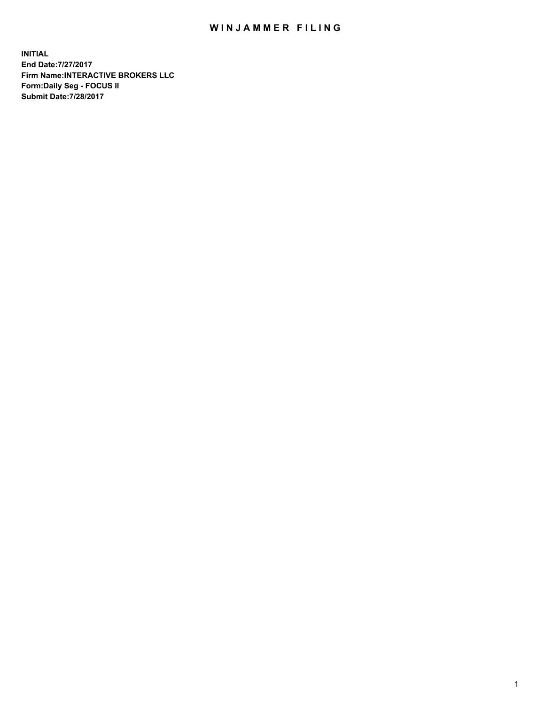## WIN JAMMER FILING

**INITIAL End Date:7/27/2017 Firm Name:INTERACTIVE BROKERS LLC Form:Daily Seg - FOCUS II Submit Date:7/28/2017**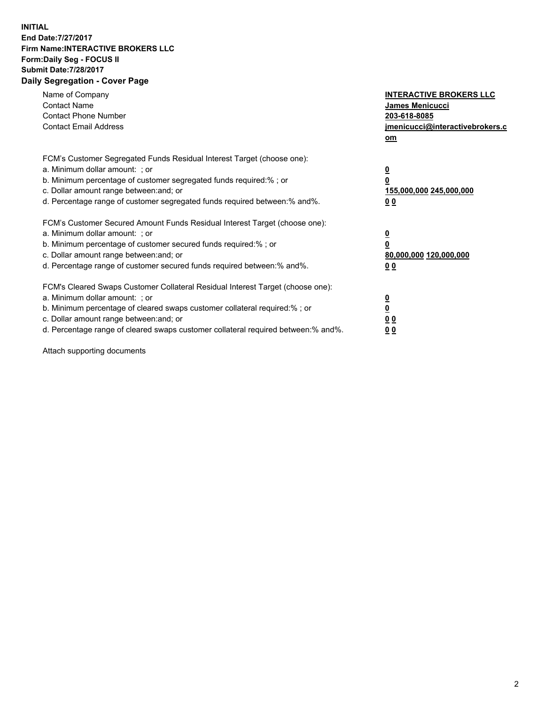## **INITIAL End Date:7/27/2017 Firm Name:INTERACTIVE BROKERS LLC Form:Daily Seg - FOCUS II Submit Date:7/28/2017 Daily Segregation - Cover Page**

| Name of Company<br><b>Contact Name</b><br><b>Contact Phone Number</b><br><b>Contact Email Address</b>                                                                                                                                                                                                                          | <b>INTERACTIVE BROKERS LLC</b><br><b>James Menicucci</b><br>203-618-8085<br>jmenicucci@interactivebrokers.c<br>om |
|--------------------------------------------------------------------------------------------------------------------------------------------------------------------------------------------------------------------------------------------------------------------------------------------------------------------------------|-------------------------------------------------------------------------------------------------------------------|
| FCM's Customer Segregated Funds Residual Interest Target (choose one):<br>a. Minimum dollar amount: ; or<br>b. Minimum percentage of customer segregated funds required:% ; or<br>c. Dollar amount range between: and; or<br>d. Percentage range of customer segregated funds required between:% and%.                         | $\overline{\mathbf{0}}$<br>0<br><u>155,000,000 245,000,000</u><br><u>00</u>                                       |
| FCM's Customer Secured Amount Funds Residual Interest Target (choose one):<br>a. Minimum dollar amount: ; or<br>b. Minimum percentage of customer secured funds required:%; or<br>c. Dollar amount range between: and; or<br>d. Percentage range of customer secured funds required between:% and%.                            | $\overline{\mathbf{0}}$<br>$\overline{\mathbf{0}}$<br>80,000,000 120,000,000<br>00                                |
| FCM's Cleared Swaps Customer Collateral Residual Interest Target (choose one):<br>a. Minimum dollar amount: ; or<br>b. Minimum percentage of cleared swaps customer collateral required:% ; or<br>c. Dollar amount range between: and; or<br>d. Percentage range of cleared swaps customer collateral required between:% and%. | $\underline{\mathbf{0}}$<br>$\underline{\mathbf{0}}$<br>0 <sub>0</sub><br>0 <sub>0</sub>                          |

Attach supporting documents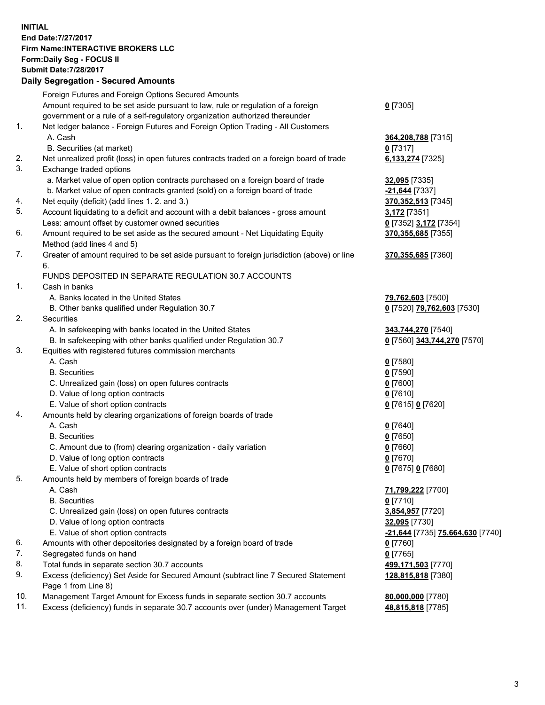## **INITIAL End Date:7/27/2017 Firm Name:INTERACTIVE BROKERS LLC Form:Daily Seg - FOCUS II Submit Date:7/28/2017 Daily Segregation - Secured Amounts**

|     | Dany Ocgregation - Oceanea Annoanta                                                         |                                  |
|-----|---------------------------------------------------------------------------------------------|----------------------------------|
|     | Foreign Futures and Foreign Options Secured Amounts                                         |                                  |
|     | Amount required to be set aside pursuant to law, rule or regulation of a foreign            | $0$ [7305]                       |
|     | government or a rule of a self-regulatory organization authorized thereunder                |                                  |
| 1.  | Net ledger balance - Foreign Futures and Foreign Option Trading - All Customers             |                                  |
|     | A. Cash                                                                                     | 364, 208, 788 [7315]             |
|     | B. Securities (at market)                                                                   | 0 [7317]                         |
| 2.  | Net unrealized profit (loss) in open futures contracts traded on a foreign board of trade   | 6,133,274 [7325]                 |
| 3.  | Exchange traded options                                                                     |                                  |
|     | a. Market value of open option contracts purchased on a foreign board of trade              | 32,095 [7335]                    |
|     | b. Market value of open contracts granted (sold) on a foreign board of trade                | -21,644 [7337]                   |
| 4.  | Net equity (deficit) (add lines 1.2. and 3.)                                                | 370, 352, 513 [7345]             |
| 5.  | Account liquidating to a deficit and account with a debit balances - gross amount           | 3,172 [7351]                     |
|     | Less: amount offset by customer owned securities                                            | 0 [7352] 3,172 [7354]            |
| 6.  | Amount required to be set aside as the secured amount - Net Liquidating Equity              | 370, 355, 685 [7355]             |
|     | Method (add lines 4 and 5)                                                                  |                                  |
| 7.  | Greater of amount required to be set aside pursuant to foreign jurisdiction (above) or line | 370, 355, 685 [7360]             |
|     | 6.                                                                                          |                                  |
|     | FUNDS DEPOSITED IN SEPARATE REGULATION 30.7 ACCOUNTS                                        |                                  |
| 1.  | Cash in banks                                                                               |                                  |
|     | A. Banks located in the United States                                                       | 79,762,603 [7500]                |
|     | B. Other banks qualified under Regulation 30.7                                              | 0 [7520] 79,762,603 [7530]       |
| 2.  | Securities                                                                                  |                                  |
|     | A. In safekeeping with banks located in the United States                                   | 343,744,270 [7540]               |
|     | B. In safekeeping with other banks qualified under Regulation 30.7                          | 0 [7560] 343,744,270 [7570]      |
| 3.  | Equities with registered futures commission merchants                                       |                                  |
|     | A. Cash                                                                                     | $0$ [7580]                       |
|     | <b>B.</b> Securities                                                                        | $0$ [7590]                       |
|     | C. Unrealized gain (loss) on open futures contracts                                         | $0$ [7600]                       |
|     | D. Value of long option contracts                                                           | $0$ [7610]                       |
|     | E. Value of short option contracts                                                          | 0 [7615] 0 [7620]                |
| 4.  | Amounts held by clearing organizations of foreign boards of trade                           |                                  |
|     | A. Cash                                                                                     | $0$ [7640]                       |
|     | <b>B.</b> Securities                                                                        | $0$ [7650]                       |
|     | C. Amount due to (from) clearing organization - daily variation                             | $0$ [7660]                       |
|     | D. Value of long option contracts                                                           | $0$ [7670]                       |
|     | E. Value of short option contracts                                                          | 0 [7675] 0 [7680]                |
| 5.  | Amounts held by members of foreign boards of trade                                          |                                  |
|     | A. Cash                                                                                     | 71,799,222 [7700]                |
|     | <b>B.</b> Securities                                                                        | $0$ [7710]                       |
|     | C. Unrealized gain (loss) on open futures contracts                                         | 3,854,957 [7720]                 |
|     | D. Value of long option contracts                                                           | 32,095 [7730]                    |
|     | E. Value of short option contracts                                                          | -21,644 [7735] 75,664,630 [7740] |
| 6.  | Amounts with other depositories designated by a foreign board of trade                      | $0$ [7760]                       |
| 7.  | Segregated funds on hand                                                                    | $0$ [7765]                       |
| 8.  | Total funds in separate section 30.7 accounts                                               | 499,171,503 [7770]               |
| 9.  | Excess (deficiency) Set Aside for Secured Amount (subtract line 7 Secured Statement         | 128,815,818 [7380]               |
|     | Page 1 from Line 8)                                                                         |                                  |
| 10. | Management Target Amount for Excess funds in separate section 30.7 accounts                 | 80,000,000 [7780]                |
| 11. | Excess (deficiency) funds in separate 30.7 accounts over (under) Management Target          | 48,815,818 [7785]                |
|     |                                                                                             |                                  |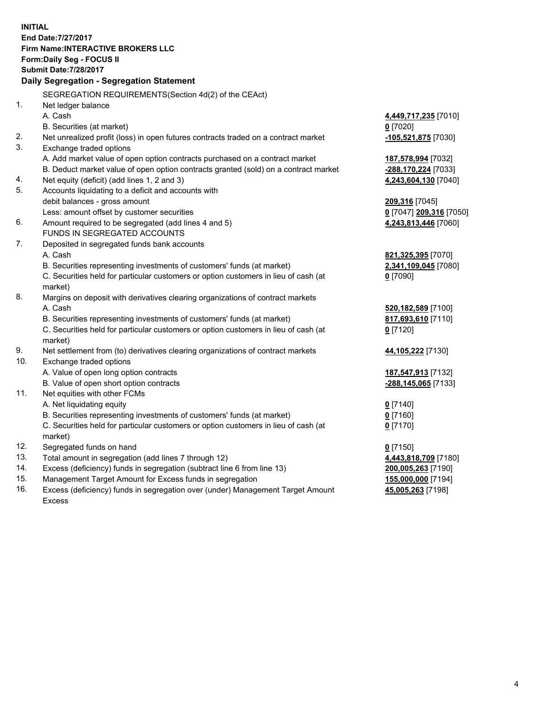**INITIAL End Date:7/27/2017 Firm Name:INTERACTIVE BROKERS LLC Form:Daily Seg - FOCUS II Submit Date:7/28/2017 Daily Segregation - Segregation Statement** SEGREGATION REQUIREMENTS(Section 4d(2) of the CEAct) 1. Net ledger balance A. Cash **4,449,717,235** [7010] B. Securities (at market) **0** [7020] 2. Net unrealized profit (loss) in open futures contracts traded on a contract market **-105,521,875** [7030] 3. Exchange traded options A. Add market value of open option contracts purchased on a contract market **187,578,994** [7032] B. Deduct market value of open option contracts granted (sold) on a contract market **-288,170,224** [7033] 4. Net equity (deficit) (add lines 1, 2 and 3) **4,243,604,130** [7040] 5. Accounts liquidating to a deficit and accounts with debit balances - gross amount **209,316** [7045] Less: amount offset by customer securities **0** [7047] **209,316** [7050] 6. Amount required to be segregated (add lines 4 and 5) **4,243,813,446** [7060] FUNDS IN SEGREGATED ACCOUNTS 7. Deposited in segregated funds bank accounts A. Cash **821,325,395** [7070] B. Securities representing investments of customers' funds (at market) **2,341,109,045** [7080] C. Securities held for particular customers or option customers in lieu of cash (at market) **0** [7090] 8. Margins on deposit with derivatives clearing organizations of contract markets A. Cash **520,182,589** [7100] B. Securities representing investments of customers' funds (at market) **817,693,610** [7110] C. Securities held for particular customers or option customers in lieu of cash (at market) **0** [7120] 9. Net settlement from (to) derivatives clearing organizations of contract markets **44,105,222** [7130] 10. Exchange traded options A. Value of open long option contracts **187,547,913** [7132] B. Value of open short option contracts **-288,145,065** [7133] 11. Net equities with other FCMs A. Net liquidating equity **0** [7140] B. Securities representing investments of customers' funds (at market) **0** [7160] C. Securities held for particular customers or option customers in lieu of cash (at market) **0** [7170] 12. Segregated funds on hand **0** [7150] 13. Total amount in segregation (add lines 7 through 12) **4,443,818,709** [7180] 14. Excess (deficiency) funds in segregation (subtract line 6 from line 13) **200,005,263** [7190] 15. Management Target Amount for Excess funds in segregation **155,000,000** [7194]

16. Excess (deficiency) funds in segregation over (under) Management Target Amount Excess

**45,005,263** [7198]